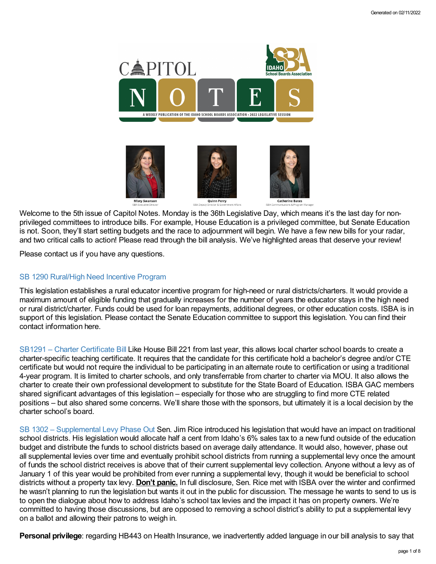

Welcome to the 5th issue of Capitol Notes. Monday is the 36th Legislative Day, which means it's the last day for nonprivileged committees to introduce bills. For example, House Education is a privileged committee, but Senate Education is not. Soon, they'll start setting budgets and the race to adjournment will begin. We have a few new bills for your radar, and two critical calls to action! Please read through the bill analysis. We've highlighted areas that deserve your review!

Please contact us if you have any questions.

## SB 1290 [Rural/High](https://legislature.idaho.gov/wp-content/uploads/sessioninfo/2022/legislation/S1290SOP.pdf) Need Incentive Program

This legislation establishes a rural educator incentive program for high-need or rural districts/charters. It would provide a maximum amount of eligible funding that gradually increases for the number of years the educator stays in the high need or rural district/charter. Funds could be used for loan repayments, additional degrees, or other education costs. ISBA is in support of this legislation. Please contact the Senate Education committee to support this legislation. You can find their contact information here.

SB1291 – Charter [Certificate](https://legislature.idaho.gov/sessioninfo/2022/legislation/S1291/) Bill Like House Bill 221 from last year, this allows local charter school boards to create a charter-specific teaching certificate. It requires that the candidate for this certificate hold a bachelor's degree and/or CTE certificate but would not require the individual to be participating in an alternate route to certification or using a traditional 4-year program. It is limited to charter schools, and only transferrable from charter to charter via MOU. It also allows the charter to create their own professional development to substitute for the State Board of Education. ISBA GAC members shared significant advantages of this legislation – especially for those who are struggling to find more CTE related positions – but also shared some concerns. We'll share those with the sponsors, but ultimately it is a local decision by the charter school's board.

SB 1302 – [Supplemental](https://legislature.idaho.gov/sessioninfo/2022/legislation/S1302/) Levy Phase Out Sen. Jim Rice introduced his legislation that would have an impact on traditional school districts. His legislation would allocate half a cent from Idaho's 6% sales tax to a new fund outside of the education budget and distribute the funds to school districts based on average daily attendance. It would also, however, phase out all supplemental levies over time and eventually prohibit school districts from running a supplemental levy once the amount of funds the school district receives is above that of their current supplemental levy collection. Anyone without a levy as of January 1 of this year would be prohibited from ever running a supplemental levy, though it would be beneficial to school districts without a property tax levy. **Don't panic.** In full disclosure, Sen. Rice met with ISBA over the winter and confirmed he wasn't planning to run the legislation but wants it out in the public for discussion. The message he wants to send to us is to open the dialogue about how to address Idaho's school tax levies and the impact it has on property owners. We're committed to having those discussions, but are opposed to removing a school district's ability to put a supplemental levy on a ballot and allowing their patrons to weigh in.

**Personal privilege**: regarding HB443 on Health Insurance, we inadvertently added language in our bill analysis to say that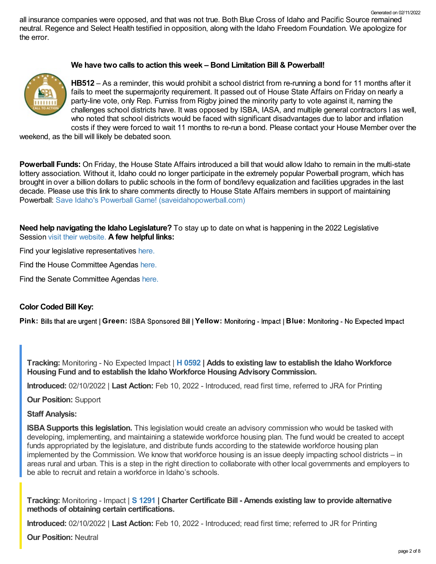all insurance companies were opposed, and that was not true. Both Blue Cross of Idaho and Pacific Source remained neutral. Regence and Select Health testified in opposition, along with the Idaho Freedom Foundation. We apologize for the error.

### **We have two calls to action this week – Bond Limitation Bill & Powerball!**



**HB512** – As a reminder, this would prohibit a school district from re-running a bond for 11 months after it fails to meet the supermajority requirement. It passed out of House State Affairs on Friday on nearly a party-line vote, only Rep. Furniss from Rigby joined the minority party to vote against it, naming the challenges school districts have. It was opposed by ISBA, IASA, and multiple general contractors l as well, who noted that school districts would be faced with significant disadvantages due to labor and inflation costs if they were forced to wait 11 months to re-run a bond. Please contact your House Member over the

weekend, as the bill will likely be debated soon.

**Powerball Funds:** On Friday, the House State Affairs introduced a bill that would allow Idaho to remain in the multi-state lottery association. Without it, Idaho could no longer participate in the extremely popular Powerball program, which has brought in over a billion dollars to public schools in the form of bond/levy equalization and facilities upgrades in the last decade. Please use this link to share comments directly to House State Affairs members in support of maintaining Powerball: Save Idaho's Powerball Game! [\(saveidahopowerball.com\)](https://saveidahopowerball.com/)

**Need help navigating the Idaho Legislature?** To stay up to date on what is happening in the 2022 Legislative Session visit their [website.](https://legislature.idaho.gov/legislators/whosmylegislator/) **A few helpful links:**

Find your legislative representatives [here.](https://legislature.idaho.gov/legislators/whosmylegislator/)

Find the House Committee Agendas [here.](https://legislature.idaho.gov/sessioninfo/agenda/hagenda/)

Find the Senate Committee Agendas [here.](https://legislature.idaho.gov/sessioninfo/agenda/sagenda/)

#### **Color Coded Bill Key:**

Pink: Bills that are urgent | Green: ISBA Sponsored Bill | Yellow: Monitoring - Impact | Blue: Monitoring - No Expected Impact

**Tracking:** Monitoring - No Expected Impact | **H [0592](https://legislature.idaho.gov/sessioninfo/2022/legislation/H0592/) | Adds to existing law to establish the Idaho Workforce Housing Fund and to establish the Idaho Workforce Housing AdvisoryCommission.**

**Introduced:** 02/10/2022 | **Last Action:** Feb 10, 2022 - Introduced, read first time, referred to JRA for Printing

**Our Position:** Support

**Staff Analysis:**

**ISBA Supports this legislation.** This legislation would create an advisory commission who would be tasked with developing, implementing, and maintaining a statewide workforce housing plan. The fund would be created to accept funds appropriated by the legislature, and distribute funds according to the statewide workforce housing plan implemented by the Commission. We know that workforce housing is an issue deeply impacting school districts – in areas rural and urban. This is a step in the right direction to collaborate with other local governments and employers to be able to recruit and retain a workforce in Idaho's schools.

**Tracking:** Monitoring - Impact | **S [1291](https://legislature.idaho.gov/sessioninfo/2022/legislation/S1291/) | Charter Certificate Bill - Amends existing law to provide alternative methods of obtaining certain certifications.**

**Introduced:** 02/10/2022 | **Last Action:** Feb 10, 2022 - Introduced; read first time; referred to JR for Printing

**Our Position:** Neutral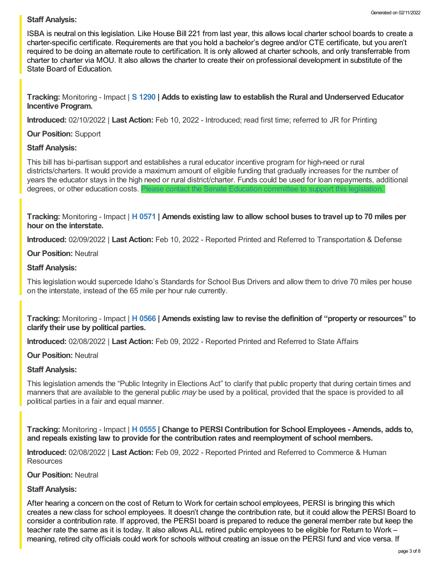## **Staff Analysis:**

ISBA is neutral on this legislation. Like House Bill 221 from last year, this allows local charter school boards to create a charter-specific certificate. Requirements are that you hold a bachelor's degree and/or CTE certificate, but you aren't required to be doing an alternate route to certification. It is only allowed at charter schools, and only transferrable from charter to charter via MOU. It also allows the charter to create their on professional development in substitute of the State Board of Education.

**Tracking:** Monitoring - Impact | **S [1290](https://legislature.idaho.gov/sessioninfo/2022/legislation/S1290/) | Adds to existing law to establish the Rural and Underserved Educator Incentive Program.**

**Introduced:** 02/10/2022 | **Last Action:** Feb 10, 2022 - Introduced; read first time; referred to JR for Printing

## **Our Position:** Support

## **Staff Analysis:**

This bill has bi-partisan support and establishes a rural educator incentive program for high-need or rural districts/charters. It would provide a maximum amount of eligible funding that gradually increases for the number of years the educator stays in the high need or rural district/charter. Funds could be used for loan repayments, additional degrees, or other education costs. Please contact the Senate Education [committee](https://legislature.idaho.gov/sessioninfo/2022/standingcommittees/SEDU/) to support this legislation.

Tracking: Monitoring - Impact | H [0571](https://legislature.idaho.gov/sessioninfo/2022/legislation/H0571/) | Amends existing law to allow school buses to travel up to 70 miles per **hour on the interstate.**

**Introduced:** 02/09/2022 | **Last Action:** Feb 10, 2022 - Reported Printed and Referred to Transportation & Defense

**Our Position:** Neutral

## **Staff Analysis:**

This legislation would supercede Idaho's Standards for School Bus Drivers and allow them to drive 70 miles per house on the interstate, instead of the 65 mile per hour rule currently.

Tracking: Monitoring - Impact | H [0566](https://legislature.idaho.gov/sessioninfo/2022/legislation/H0566/) | Amends existing law to revise the definition of "property or resources" to **clarify their use by political parties.**

**Introduced:** 02/08/2022 | **Last Action:** Feb 09, 2022 - Reported Printed and Referred to State Affairs

## **Our Position:** Neutral

## **Staff Analysis:**

This legislation amends the "Public Integrity in Elections Act" to clarify that public property that during certain times and manners that are available to the general public *may* be used by a political, provided that the space is provided to all political parties in a fair and equal manner.

**Tracking:** Monitoring - Impact | **H [0555](https://legislature.idaho.gov/sessioninfo/2022/legislation/H0555/) | Change to PERSI Contribution for School Employees - Amends, adds to, and repeals existing law to provide for the contribution rates and reemployment of school members.**

**Introduced:** 02/08/2022 | **Last Action:** Feb 09, 2022 - Reported Printed and Referred to Commerce & Human **Resources** 

## **Our Position:** Neutral

# **Staff Analysis:**

After hearing a concern on the cost of Return to Work for certain school employees, PERSI is bringing this which creates a new class for school employees. It doesn't change the contribution rate, but it could allow the PERSI Board to consider a contribution rate. If approved, the PERSI board is prepared to reduce the general member rate but keep the teacher rate the same as it is today. It also allows ALL retired public employees to be eligible for Return to Work – meaning, retired city officials could work for schools without creating an issue on the PERSI fund and vice versa. If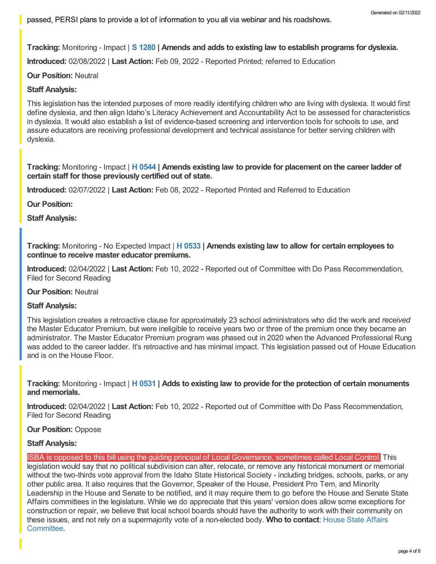**Tracking:** Monitoring - Impact | **S [1280](https://legislature.idaho.gov/sessioninfo/2022/legislation/S1280/) | Amends and adds to existing law to establish programs for dyslexia.**

**Introduced:** 02/08/2022 | **Last Action:** Feb 09, 2022 - Reported Printed; referred to Education

### **Our Position:** Neutral

### **Staff Analysis:**

This legislation has the intended purposes of more readily identifying children who are living with dyslexia. It would first define dyslexia, and then align Idaho's Literacy Achievement and Accountability Act to be assessed for characteristics in dyslexia. It would also establish a list of evidence-based screening and intervention tools for schools to use, and assure educators are receiving professional development and technical assistance for better serving children with dyslexia.

**Tracking:** Monitoring - Impact | **H [0544](https://legislature.idaho.gov/sessioninfo/2022/legislation/H0544/) | Amends existing law to provide for placement on the career ladder of certain staff for those previously certified out of state.**

**Introduced:** 02/07/2022 | **Last Action:** Feb 08, 2022 - Reported Printed and Referred to Education

**Our Position:**

**Staff Analysis:**

**Tracking:** Monitoring - No Expected Impact | **H [0533](https://legislature.idaho.gov/sessioninfo/2022/legislation/H0533/) | Amends existing law to allow for certain employees to continue to receive master educator premiums.**

**Introduced:** 02/04/2022 | **Last Action:** Feb 10, 2022 - Reported out of Committee with Do Pass Recommendation, Filed for Second Reading

**Our Position:** Neutral

#### **Staff Analysis:**

This legislation creates a retroactive clause for approximately 23 school administrators who did the work and *received* the Master Educator Premium, but were ineligible to receive years two or three of the premium once they became an administrator. The Master Educator Premium program was phased out in 2020 when the Advanced Professional Rung was added to the career ladder. It's retroactive and has minimal impact. This legislation passed out of House Education and is on the House Floor.

**Tracking:** Monitoring - Impact | **H [0531](https://legislature.idaho.gov/sessioninfo/2022/legislation/H0531/) | Adds to existing law to provide for the protection of certain monuments and memorials.**

**Introduced:** 02/04/2022 | **Last Action:** Feb 10, 2022 - Reported out of Committee with Do Pass Recommendation, Filed for Second Reading

#### **Our Position:** Oppose

#### **Staff Analysis:**

ISBA is opposed to this bill using the guiding principal of Local Governance, sometimes called Local Control. This legislation would say that no political subdivision can alter, relocate, or remove any historical monument or memorial without the two-thirds vote approval from the Idaho State Historical Society - including bridges, schools, parks, or any other public area. It also requires that the Governor, Speaker of the House, President Pro Tem, and Minority Leadership in the House and Senate to be notified, and it may require them to go before the House and Senate State Affairs committees in the legislature. While we do appreciate that this years' version does allow some exceptions for construction or repair, we believe that local school boards should have the authority to work with their community on these issues, and not rely on a [supermajority](https://legislature.idaho.gov/sessioninfo/2022/standingcommittees/HSTA/) vote of a non-elected body. **Who to contact**: House State Affairs Committee.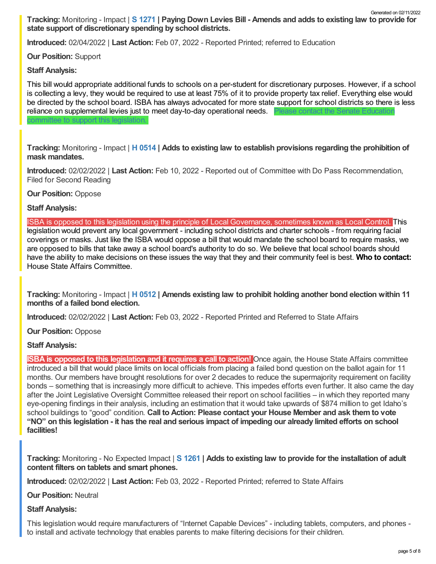Tracking: Monitoring - Impact | S [1271](https://legislature.idaho.gov/sessioninfo/2022/legislation/S1271/) | Paying Down Levies Bill - Amends and adds to existing law to provide for **state support of discretionary spending by school districts.** Generated on 02/11/2022

**Introduced:** 02/04/2022 | **Last Action:** Feb 07, 2022 - Reported Printed; referred to Education

**Our Position:** Support

**Staff Analysis:**

This bill would appropriate additional funds to schools on a per-student for discretionary purposes. However, if a school is collecting a levy, they would be required to use at least 75% of it to provide property tax relief. Everything else would be directed by the school board. ISBA has always advocated for more state support for school districts so there is less reliance on [supplemental](https://legislature.idaho.gov/sessioninfo/2022/standingcommittees/SEDU/) levies just to meet day-to-day operational needs. Please contact the Senate Education committee to support this legislation.

**Tracking:** Monitoring - Impact | **H [0514](https://legislature.idaho.gov/sessioninfo/2022/legislation/H0514/) | Adds to existing law to establish provisions regarding the prohibition of mask mandates.**

**Introduced:** 02/02/2022 | **Last Action:** Feb 10, 2022 - Reported out of Committee with Do Pass Recommendation, Filed for Second Reading

**Our Position:** Oppose

**Staff Analysis:**

ISBA is opposed to this legislation using the principle of Local Governance, sometimes known as Local Control. This legislation would prevent any local government - including school districts and charter schools - from requiring facial coverings or masks. Just like the ISBA would oppose a bill that would mandate the school board to require masks, we are opposed to bills that take away a school board's authority to do so. We believe that local school boards should have the ability to make decisions on these issues the way that they and their community feel is best. **Who to contact:** House State Affairs [Committee.](https://legislature.idaho.gov/sessioninfo/2022/standingcommittees/HSTA/)

**Tracking:** Monitoring - Impact | **H [0512](https://legislature.idaho.gov/sessioninfo/2022/legislation/H0512/) | Amends existing law to prohibit holding another bond election within 11 months of a failed bond election.**

**Introduced:** 02/02/2022 | **Last Action:** Feb 03, 2022 - Reported Printed and Referred to State Affairs

**Our Position:** Oppose

# **Staff Analysis:**

**ISBA is opposed to this legislation and it requires a call to action!** Once again, the House State Affairs committee introduced a bill that would place limits on local officials from placing a failed bond question on the ballot again for 11 months. Our members have brought resolutions for over 2 decades to reduce the supermajority requirement on facility bonds – something that is increasingly more difficult to achieve. This impedes efforts even further. It also came the day after the Joint Legislative Oversight Committee released their report on school facilities – in which they reported many eye-opening findings in their analysis, including an estimation that it would take upwards of \$874 million to get Idaho's school buildings to "good" condition. **Call to Action: Please contact your House Member and ask them to vote** "NO" on this legislation - it has the real and serious impact of impeding our already limited efforts on school **facilities!**

**Tracking:** Monitoring - No Expected Impact | **S [1261](https://legislature.idaho.gov/sessioninfo/2022/legislation/S1261/) | Adds to existing law to provide for the installation of adult content filters on tablets and smart phones.**

**Introduced:** 02/02/2022 | **Last Action:** Feb 03, 2022 - Reported Printed; referred to State Affairs

**Our Position:** Neutral

# **Staff Analysis:**

This legislation would require manufacturers of "Internet Capable Devices" - including tablets, computers, and phones to install and activate technology that enables parents to make filtering decisions for their children.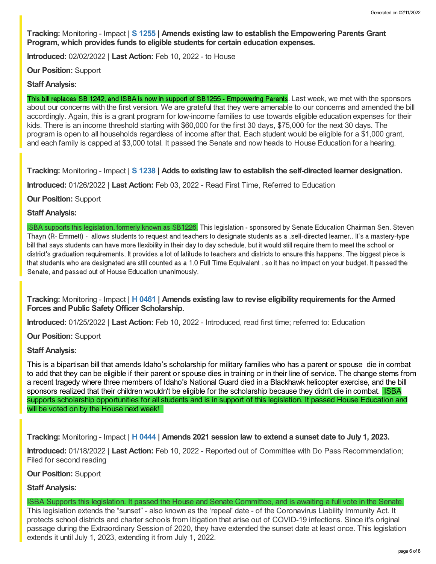**Tracking:** Monitoring - Impact | **S [1255](https://legislature.idaho.gov/sessioninfo/2022/legislation/S1255/) | Amends existing law to establish the Empowering Parents Grant Program, which provides funds to eligible students for certain education expenses.**

**Introduced:** 02/02/2022 | **Last Action:** Feb 10, 2022 - to House

**Our Position:** Support

#### **Staff Analysis:**

This bill replaces SB 1242, and ISBA is now in support of SB1255 - Empowering Parents. Last week, we met with the sponsors about our concerns with the first version. We are grateful that they were amenable to our concerns and amended the bill accordingly. Again, this is a grant program for low-income families to use towards eligible education expenses for their kids. There is an income threshold starting with \$60,000 for the first 30 days, \$75,000 for the next 30 days. The program is open to all households regardless of income after that. Each student would be eligible for a \$1,000 grant, and each family is capped at \$3,000 total. It passed the Senate and now heads to House Education for a hearing.

**Tracking:** Monitoring - Impact | **S [1238](https://legislature.idaho.gov/sessioninfo/2022/legislation/S1238/) | Adds to existing law to establish the self-directed learner designation.**

**Introduced:** 01/26/2022 | **Last Action:** Feb 03, 2022 - Read First Time, Referred to Education

**Our Position:** Support

#### **Staff Analysis:**

ISBA supports this legislation, formerly known as SB1226. This legislation - sponsored by Senate Education Chairman Sen. Steven Thayn (R- Emmett) - allows students to request and teachers to designate students as a self-directed learner.. It's a mastery-type bill that says students can have more flexibility in their day to day schedule, but it would still require them to meet the school or district's graduation requirements. It provides a lot of latitude to teachers and districts to ensure this happens. The biggest piece is that students who are designated are still counted as a 1.0 Full Time Equivalent , so it has no impact on your budget. It passed the Senate, and passed out of House Education unanimously.

**Tracking:** Monitoring - Impact | **H [0461](https://legislature.idaho.gov/sessioninfo/2022/legislation/H0461/) | Amends existing law to revise eligibility requirements for the Armed Forces and Public SafetyOfficer Scholarship.**

**Introduced:** 01/25/2022 | **Last Action:** Feb 10, 2022 - Introduced, read first time; referred to: Education

**Our Position:** Support

## **Staff Analysis:**

This is a bipartisan bill that amends Idaho's scholarship for military families who has a parent or spouse die in combat to add that they can be eligible if their parent or spouse dies in training or in their line of service. The change stems from a recent tragedy where three members of Idaho's National Guard died in a Blackhawk helicopter exercise, and the bill sponsors realized that their children wouldn't be eligible for the scholarship because they didn't die in combat. ISBA supports scholarship opportunities for all students and is in support of this legislation. It passed House Education and will be voted on by the House next week!

**Tracking:** Monitoring - Impact | **H [0444](https://legislature.idaho.gov/sessioninfo/2022/legislation/H0444/) | Amends 2021 session law to extend a sunset date to July 1, 2023.**

**Introduced:** 01/18/2022 | **Last Action:** Feb 10, 2022 - Reported out of Committee with Do Pass Recommendation; Filed for second reading

## **Our Position:** Support

## **Staff Analysis:**

ISBA Supports this legislation. It passed the House and Senate Committee, and is awaiting a full vote in the Senate.

This legislation extends the "sunset" - also known as the 'repeal' date - of the Coronavirus Liability Immunity Act. It protects school districts and charter schools from litigation that arise out of COVID-19 infections. Since it's original passage during the Extraordinary Session of 2020, they have extended the sunset date at least once. This legislation extends it until July 1, 2023, extending it from July 1, 2022.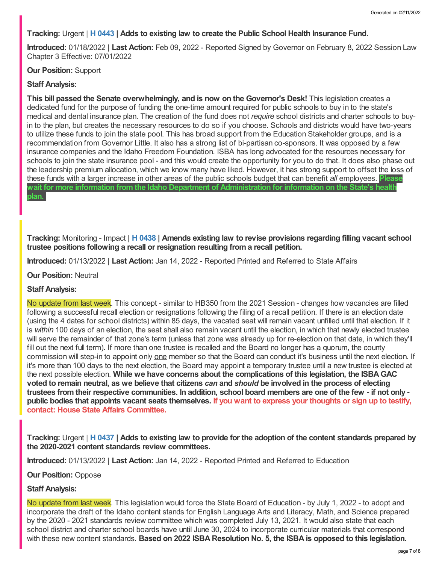## **Tracking:** Urgent | **H [0443](https://legislature.idaho.gov/sessioninfo/2022/legislation/H0443/) | Adds to existing law to create the Public School Health Insurance Fund.**

**Introduced:** 01/18/2022 | **Last Action:** Feb 09, 2022 - Reported Signed by Governor on February 8, 2022 Session Law Chapter 3 Effective: 07/01/2022

**Our Position:** Support

## **Staff Analysis:**

**This bill passed the Senate overwhelmingly, and is now on the Governor's Desk!** This legislation creates a dedicated fund for the purpose of funding the one-time amount required for public schools to buy in to the state's medical and dental insurance plan. The creation of the fund does not *require* school districts and charter schools to buyin to the plan, but creates the necessary resources to do so if you choose. Schools and districts would have two-years to utilize these funds to join the state pool. This has broad support from the Education Stakeholder groups, and is a recommendation from Governor Little. It also has a strong list of bi-partisan co-sponsors. It was opposed by a few insurance companies and the Idaho Freedom Foundation. ISBA has long advocated for the resources necessary for schools to join the state insurance pool - and this would create the opportunity for you to do that. It does also phase out the leadership premium allocation, which we know many have liked. However, it has strong support to offset the loss of these funds with a larger increase in other areas of the public schools budget that can benefit *all* employees. **Please wait for more information from the Idaho Department of Administration for information on the State's health plan.**

**Tracking:** Monitoring - Impact | **H [0438](https://legislature.idaho.gov/sessioninfo/2022/legislation/H0438/) | Amends existing law to revise provisions regarding filling vacant school trustee positions following a recall or resignation resulting from a recall petition.**

**Introduced:** 01/13/2022 | **Last Action:** Jan 14, 2022 - Reported Printed and Referred to State Affairs

**Our Position:** Neutral

## **Staff Analysis:**

No update from last week. This concept - similar to HB350 from the 2021 Session - changes how vacancies are filled following a successful recall election or resignations following the filing of a recall petition. If there is an election date (using the 4 dates for school districts) within 85 days, the vacated seat will remain vacant unfilled until that election. If it is *within* 100 days of an election, the seat shall also remain vacant until the election, in which that newly elected trustee will serve the remainder of that zone's term (unless that zone was already up for re-election on that date, in which they'll fill out the next full term). If more than one trustee is recalled and the Board no longer has a quorum, the county commission will step-in to appoint only one member so that the Board can conduct it's business until the next election. If it's more than 100 days to the next election, the Board may appoint a temporary trustee until a new trustee is elected at the next possible election. **While we have concerns about the complications of this legislation, the ISBAGAC** voted to remain neutral, as we believe that citizens can and should be involved in the process of electing trustees from their respective communities. In addition, school board members are one of the few - if not only public bodies that appoints vacant seats themselves. If you want to express your thoughts or sign up to testify, **contact: House State Affairs [Committee.](https://legislature.idaho.gov/sessioninfo/2022/standingcommittees/HSTA/)**

Tracking: Urgent | H [0437](https://legislature.idaho.gov/sessioninfo/2022/legislation/H0437/) | Adds to existing law to provide for the adoption of the content standards prepared by **the 2020-2021 content standards review committees.**

**Introduced:** 01/13/2022 | **Last Action:** Jan 14, 2022 - Reported Printed and Referred to Education

**Our Position:** Oppose

## **Staff Analysis:**

No update from last week. This legislation would force the State Board of Education - by July 1, 2022 - to adopt and incorporate the draft of the Idaho content stands for English Language Arts and Literacy, Math, and Science prepared by the 2020 - 2021 standards review committee which was completed July 13, 2021. It would also state that each school district and charter school boards have until June 30, 2024 to incorporate curricular materials that correspond with these new content standards. **Based on 2022 ISBA Resolution No. 5, the ISBA is opposed to this legislation.**